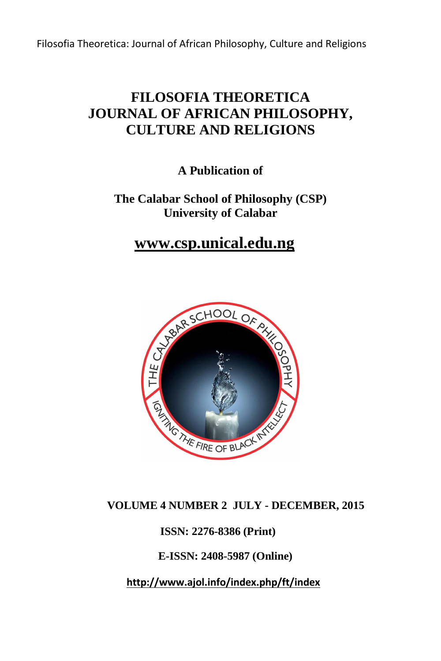# **FILOSOFIA THEORETICA JOURNAL OF AFRICAN PHILOSOPHY, CULTURE AND RELIGIONS**

**A Publication of** 

**The Calabar School of Philosophy (CSP) University of Calabar** 

 **www.csp.unical.edu.ng**



## **VOLUME 4 NUMBER 2 JULY - DECEMBER, 2015**

 **ISSN: 2276-8386 (Print)** 

 **E-ISSN: 2408-5987 (Online)** 

 **http://www.ajol.info/index.php/ft/index**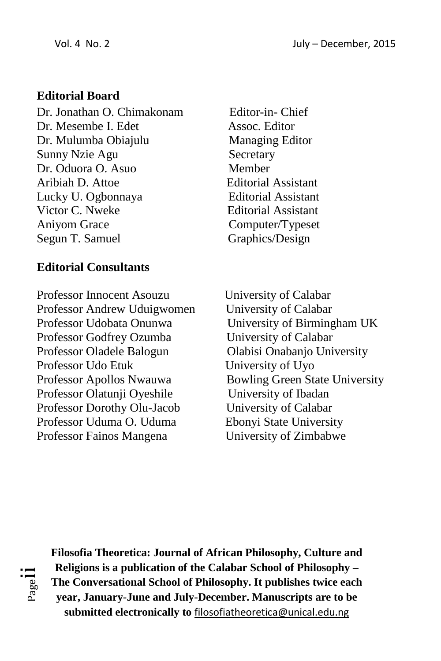# **Editorial Board**

Dr. Jonathan O. Chimakonam Editor-in- Chief Dr. Mesembe I. Edet Assoc. Editor Dr. Mulumba Obiajulu Managing Editor Sunny Nzie Agu Secretary Dr. Oduora O. Asuo Member Aribiah D. Attoe Editorial Assistant Lucky U. Ogbonnaya Editorial Assistant Victor C. Nweke Editorial Assistant Aniyom Grace Computer/Typeset Segun T. Samuel Graphics/Design

## **Editorial Consultants**

Professor Innocent Asouzu University of Calabar Professor Andrew Uduigwomen University of Calabar Professor Udobata Onunwa University of Birmingham UK Professor Godfrey Ozumba<br>
University of Calabar Professor Oladele Balogun Olabisi Onabanjo University Professor Udo Etuk University of Uyo Professor Apollos Nwauwa Bowling Green State University Professor Olatunji Oyeshile University of Ibadan Professor Dorothy Olu-Jacob University of Calabar Professor Uduma O. Uduma Ebonyi State University Professor Fainos Mangena University of Zimbabwe



**Filosofia Theoretica: Journal of African Philosophy, Culture and Religions is a publication of the Calabar School of Philosophy – The Conversational School of Philosophy. It publishes twice each year, January-June and July-December. Manuscripts are to be submitted electronically to** filosofiatheoretica@unical.edu.ng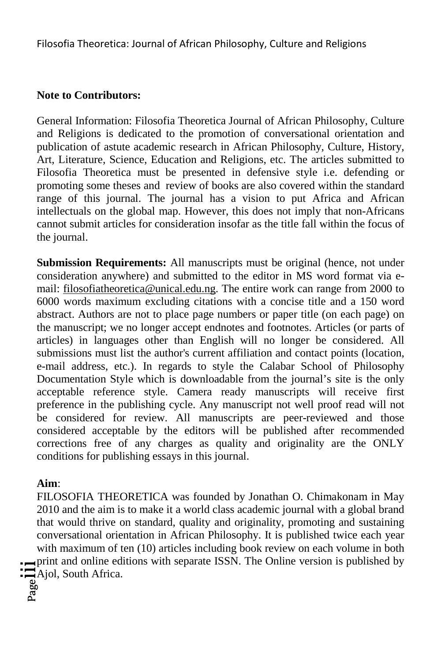# **Note to Contributors:**

General Information: Filosofia Theoretica Journal of African Philosophy, Culture and Religions is dedicated to the promotion of conversational orientation and publication of astute academic research in African Philosophy, Culture, History, Art, Literature, Science, Education and Religions, etc. The articles submitted to Filosofia Theoretica must be presented in defensive style i.e. defending or promoting some theses and review of books are also covered within the standard range of this journal. The journal has a vision to put Africa and African intellectuals on the global map. However, this does not imply that non-Africans cannot submit articles for consideration insofar as the title fall within the focus of the journal.

**Submission Requirements:** All manuscripts must be original (hence, not under consideration anywhere) and submitted to the editor in MS word format via email: filosofiatheoretica@unical.edu.ng. The entire work can range from 2000 to 6000 words maximum excluding citations with a concise title and a 150 word abstract. Authors are not to place page numbers or paper title (on each page) on the manuscript; we no longer accept endnotes and footnotes. Articles (or parts of articles) in languages other than English will no longer be considered. All submissions must list the author's current affiliation and contact points (location, e-mail address, etc.). In regards to style the Calabar School of Philosophy Documentation Style which is downloadable from the journal's site is the only acceptable reference style. Camera ready manuscripts will receive first preference in the publishing cycle. Any manuscript not well proof read will not be considered for review. All manuscripts are peer-reviewed and those considered acceptable by the editors will be published after recommended corrections free of any charges as quality and originality are the ONLY conditions for publishing essays in this journal.

## **Aim**:

 $\sum_{\substack{\text{a} \text{adj}}\\ \text{a} \text{adj}}$  South Africa. FILOSOFIA THEORETICA was founded by Jonathan O. Chimakonam in May 2010 and the aim is to make it a world class academic journal with a global brand that would thrive on standard, quality and originality, promoting and sustaining conversational orientation in African Philosophy. It is published twice each year with maximum of ten (10) articles including book review on each volume in both print and online editions with separate ISSN. The Online version is published by

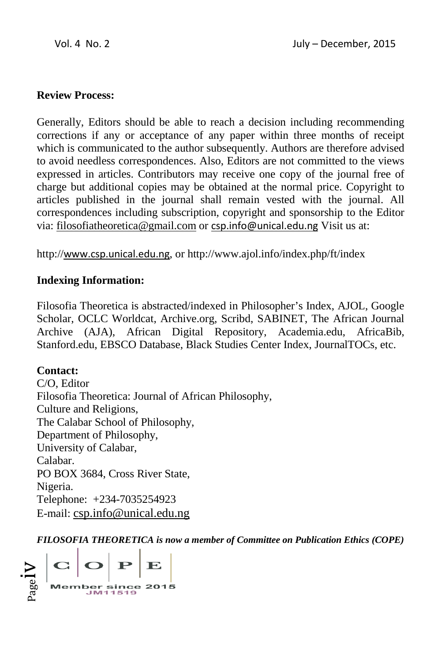#### **Review Process:**

Generally, Editors should be able to reach a decision including recommending corrections if any or acceptance of any paper within three months of receipt which is communicated to the author subsequently. Authors are therefore advised to avoid needless correspondences. Also, Editors are not committed to the views expressed in articles. Contributors may receive one copy of the journal free of charge but additional copies may be obtained at the normal price. Copyright to articles published in the journal shall remain vested with the journal. All correspondences including subscription, copyright and sponsorship to the Editor via: filosofiatheoretica@gmail.com or csp.info@unical.edu.ng Visit us at:

http://www.csp.unical.edu.ng, or http://www.ajol.info/index.php/ft/index

#### **Indexing Information:**

Filosofia Theoretica is abstracted/indexed in Philosopher's Index, AJOL, Google Scholar, OCLC Worldcat, Archive.org, Scribd, SABINET, SABINET, The African Journal Archive (AJA), African Digital Repository, Academia.edu, AfricaBib, Stanford.edu, EBSCO Database, Black Studies Center Index, JournalTOCs, etc.

**Contact:**  C/O, Editor Filosofia Theoretica: Journal of African Philosophy, Culture and Religions, The Calabar School of Philosophy, Department of Philosophy, University of Calabar, Calabar. PO BOX 3684, Cross River State, Nigeria. Telephone: +234-7035254923 E-mail: csp.info@unical.edu.ng

*FILOSOFIA THEORETICA is now a member of Committee on Publication Ethics (COPE)* 

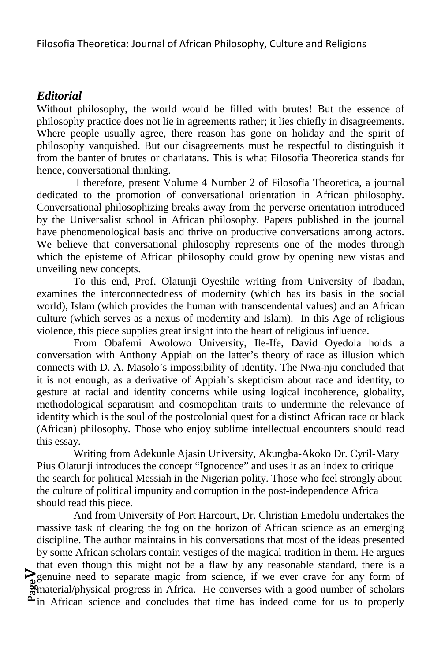## *Editorial*

Without philosophy, the world would be filled with brutes! But the essence of philosophy practice does not lie in agreements rather; it lies chiefly in disagreements. Where people usually agree, there reason has gone on holiday and the spirit of philosophy vanquished. But our disagreements must be respectful to distinguish it from the banter of brutes or charlatans. This is what Filosofia Theoretica stands for hence, conversational thinking.

 I therefore, present Volume 4 Number 2 of Filosofia Theoretica, a journal dedicated to the promotion of conversational orientation in African philosophy. Conversational philosophizing breaks away from the perverse orientation introduced by the Universalist school in African philosophy. Papers published in the journal have phenomenological basis and thrive on productive conversations among actors. We believe that conversational philosophy represents one of the modes through which the episteme of African philosophy could grow by opening new vistas and unveiling new concepts.

To this end, Prof. Olatunji Oyeshile writing from University of Ibadan, examines the interconnectedness of modernity (which has its basis in the social world), Islam (which provides the human with transcendental values) and an African culture (which serves as a nexus of modernity and Islam). In this Age of religious violence, this piece supplies great insight into the heart of religious influence.

 From Obafemi Awolowo University, Ile-Ife, David Oyedola holds a conversation with Anthony Appiah on the latter's theory of race as illusion which connects with D. A. Masolo's impossibility of identity. The Nwa-nju concluded that it is not enough, as a derivative of Appiah's skepticism about race and identity, to gesture at racial and identity concerns while using logical incoherence, globality, methodological separatism and cosmopolitan traits to undermine the relevance of identity which is the soul of the postcolonial quest for a distinct African race or black (African) philosophy. Those who enjoy sublime intellectual encounters should read this essay.

Writing from Adekunle Ajasin University, Akungba-Akoko Dr. Cyril-Mary Pius Olatunji introduces the concept "Ignocence" and uses it as an index to critique the search for political Messiah in the Nigerian polity. Those who feel strongly about the culture of political impunity and corruption in the post-independence Africa should read this piece.

genance need to separate magne from security, in the even extended for any form of<br>
material/physical progress in Africa. He converses with a good number of scholars<br>
Alin African coince and concludes that time has indeed genuine need to separate magic from science, if we ever crave for any form of And from University of Port Harcourt, Dr. Christian Emedolu undertakes the massive task of clearing the fog on the horizon of African science as an emerging discipline. The author maintains in his conversations that most of the ideas presented by some African scholars contain vestiges of the magical tradition in them. He argues that even though this might not be a flaw by any reasonable standard, there is a  $\tilde{\mathcal{L}}$  in African science and concludes that time has indeed come for us to properly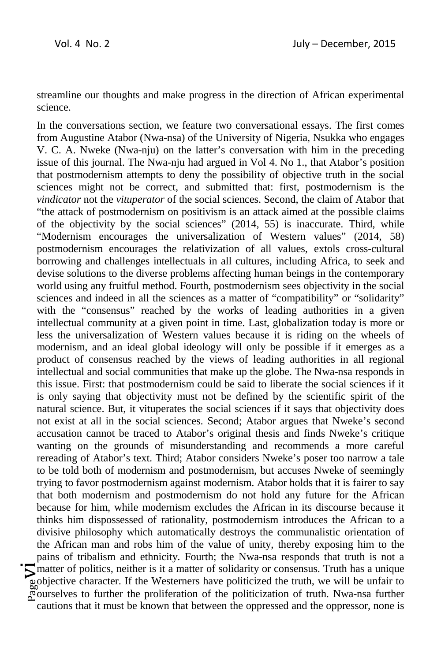streamline our thoughts and make progress in the direction of African experimental science.

Pagevi In the conversations section, we feature two conversational essays. The first comes from Augustine Atabor (Nwa-nsa) of the University of Nigeria, Nsukka who engages V. C. A. Nweke (Nwa-nju) on the latter's conversation with him in the preceding issue of this journal. The Nwa-nju had argued in Vol 4. No 1., that Atabor's position that postmodernism attempts to deny the possibility of objective truth in the social sciences might not be correct, and submitted that: first, postmodernism is the *vindicator* not the *vituperator* of the social sciences. Second, the claim of Atabor that "the attack of postmodernism on positivism is an attack aimed at the possible claims of the objectivity by the social sciences" (2014, 55) is inaccurate. Third, while "Modernism encourages the universalization of Western values" (2014, 58) postmodernism encourages the relativization of all values, extols cross-cultural borrowing and challenges intellectuals in all cultures, including Africa, to seek and devise solutions to the diverse problems affecting human beings in the contemporary world using any fruitful method. Fourth, postmodernism sees objectivity in the social sciences and indeed in all the sciences as a matter of "compatibility" or "solidarity" with the "consensus" reached by the works of leading authorities in a given intellectual community at a given point in time. Last, globalization today is more or less the universalization of Western values because it is riding on the wheels of modernism, and an ideal global ideology will only be possible if it emerges as a product of consensus reached by the views of leading authorities in all regional intellectual and social communities that make up the globe. The Nwa-nsa responds in this issue. First: that postmodernism could be said to liberate the social sciences if it is only saying that objectivity must not be defined by the scientific spirit of the natural science. But, it vituperates the social sciences if it says that objectivity does not exist at all in the social sciences. Second; Atabor argues that Nweke's second accusation cannot be traced to Atabor's original thesis and finds Nweke's critique wanting on the grounds of misunderstanding and recommends a more careful rereading of Atabor's text. Third; Atabor considers Nweke's poser too narrow a tale to be told both of modernism and postmodernism, but accuses Nweke of seemingly trying to favor postmodernism against modernism. Atabor holds that it is fairer to say that both modernism and postmodernism do not hold any future for the African because for him, while modernism excludes the African in its discourse because it thinks him dispossessed of rationality, postmodernism introduces the African to a divisive philosophy which automatically destroys the communalistic orientation of the African man and robs him of the value of unity, thereby exposing him to the pains of tribalism and ethnicity. Fourth; the Nwa-nsa responds that truth is not a matter of politics, neither is it a matter of solidarity or consensus. Truth has a unique objective character. If the Westerners have politicized the truth, we will be unfair to ourselves to further the proliferation of the politicization of truth. Nwa-nsa further cautions that it must be known that between the oppressed and the oppressor, none is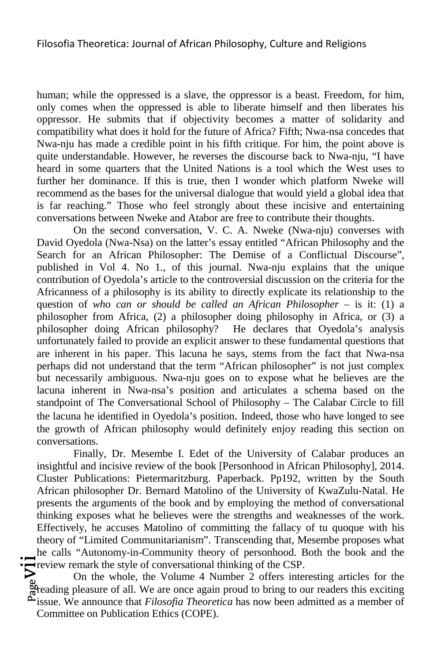human; while the oppressed is a slave, the oppressor is a beast. Freedom, for him, only comes when the oppressed is able to liberate himself and then liberates his oppressor. He submits that if objectivity becomes a matter of solidarity and compatibility what does it hold for the future of Africa? Fifth; Nwa-nsa concedes that Nwa-nju has made a credible point in his fifth critique. For him, the point above is quite understandable. However, he reverses the discourse back to Nwa-nju, "I have heard in some quarters that the United Nations is a tool which the West uses to further her dominance. If this is true, then I wonder which platform Nweke will recommend as the bases for the universal dialogue that would yield a global idea that is far reaching." Those who feel strongly about these incisive and entertaining conversations between Nweke and Atabor are free to contribute their thoughts.

On the second conversation, V. C. A. Nweke (Nwa-nju) converses with David Oyedola (Nwa-Nsa) on the latter's essay entitled "African Philosophy and the Search for an African Philosopher: The Demise of a Conflictual Discourse", published in Vol 4. No 1., of this journal. Nwa-nju explains that the unique contribution of Oyedola's article to the controversial discussion on the criteria for the Africanness of a philosophy is its ability to directly explicate its relationship to the question of *who can or should be called an African Philosopher* – is it: (1) a philosopher from Africa, (2) a philosopher doing philosophy in Africa, or (3) a philosopher doing African philosophy? He declares that Oyedola's analysis unfortunately failed to provide an explicit answer to these fundamental questions that are inherent in his paper. This lacuna he says, stems from the fact that Nwa-nsa perhaps did not understand that the term "African philosopher" is not just complex but necessarily ambiguous. Nwa-nju goes on to expose what he believes are the lacuna inherent in Nwa-nsa's position and articulates a schema based on the standpoint of The Conversational School of Philosophy – The Calabar Circle to fill the lacuna he identified in Oyedola's position. Indeed, those who have longed to see the growth of African philosophy would definitely enjoy reading this section on conversations.

Finally, Dr. Mesembe I. Edet of the University of Calabar produces an insightful and incisive review of the book [Personhood in African Philosophy], 2014. Cluster Publications: Pietermaritzburg. Paperback. Pp192, written by the South African philosopher Dr. Bernard Matolino of the University of KwaZulu-Natal. He presents the arguments of the book and by employing the method of conversational thinking exposes what he believes were the strengths and weaknesses of the work. Effectively, he accuses Matolino of committing the fallacy of tu quoque with his theory of "Limited Communitarianism". Transcending that, Mesembe proposes what he calls "Autonomy-in-Community theory of personhood. Both the book and the Freview remark the style of conversational thinking of the CSP.

Freview remark the style of conversational thinking of the CSP.<br>On the whole, the Volume 4 Number 2 offers interesting articles for the<br>directing pleasure of all. We are once again proud to bring to our readers this exciti On the whole, the Volume 4 Number 2 offers interesting articles for the issue. We announce that *Filosofia Theoretica* has now been admitted as a member of Committee on Publication Ethics (COPE).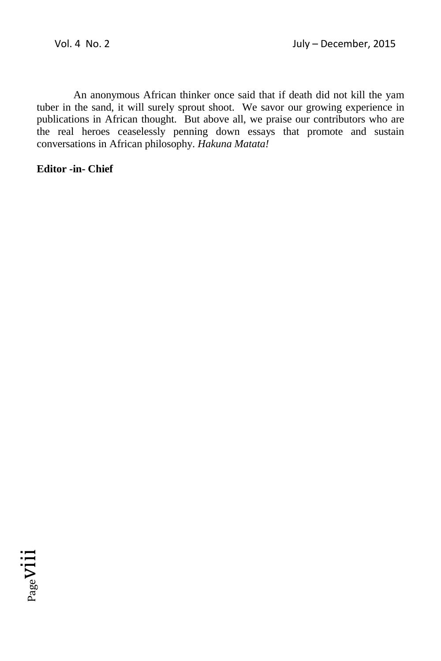An anonymous African thinker once said that if death did not kill the yam tuber in the sand, it will surely sprout shoot. We savor our growing experience in publications in African thought. But above all, we praise our contributors who are the real heroes ceaselessly penning down essays that promote and sustain conversations in African philosophy. *Hakuna Matata!* 

#### **Editor -in- Chief**

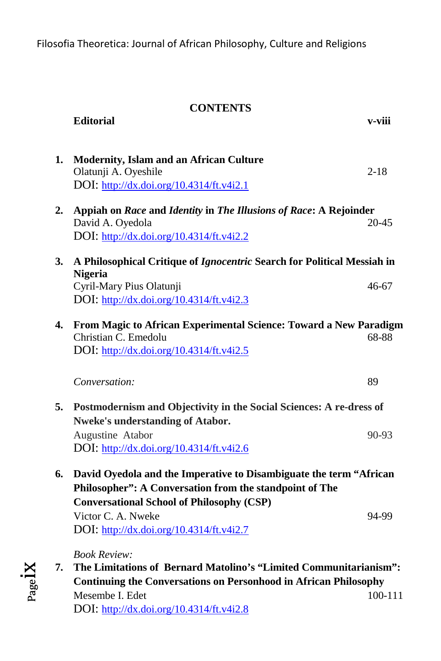|    | <b>CONTENTS</b>                                                                                                               |             |  |
|----|-------------------------------------------------------------------------------------------------------------------------------|-------------|--|
|    | <b>Editorial</b>                                                                                                              | v-viii      |  |
|    |                                                                                                                               |             |  |
| 1. | <b>Modernity, Islam and an African Culture</b>                                                                                |             |  |
|    | Olatunji A. Oyeshile<br>DOI: http://dx.doi.org/10.4314/ft.v4i2.1                                                              | $2 - 18$    |  |
|    |                                                                                                                               |             |  |
| 2. | Appiah on Race and Identity in The Illusions of Race: A Rejoinder<br>David A. Oyedola                                         | $20 - 45$   |  |
|    | DOI: http://dx.doi.org/10.4314/ft.v4i2.2                                                                                      |             |  |
|    |                                                                                                                               |             |  |
| 3. | A Philosophical Critique of Ignocentric Search for Political Messiah in<br><b>Nigeria</b>                                     |             |  |
|    | Cyril-Mary Pius Olatunji                                                                                                      | 46-67       |  |
|    | DOI: http://dx.doi.org/10.4314/ft.v4i2.3                                                                                      |             |  |
| 4. | From Magic to African Experimental Science: Toward a New Paradigm                                                             |             |  |
|    | Christian C. Emedolu                                                                                                          | 68-88       |  |
|    | DOI: http://dx.doi.org/10.4314/ft.v4i2.5                                                                                      |             |  |
|    | Conversation:                                                                                                                 | 89          |  |
|    |                                                                                                                               |             |  |
| 5. | Postmodernism and Objectivity in the Social Sciences: A re-dress of                                                           |             |  |
|    | <b>Nweke's understanding of Atabor.</b><br>Augustine Atabor                                                                   | 90-93       |  |
|    | DOI: http://dx.doi.org/10.4314/ft.v4i2.6                                                                                      |             |  |
|    |                                                                                                                               |             |  |
| 6. | David Oyedola and the Imperative to Disambiguate the term "African<br>Philosopher": A Conversation from the standpoint of The |             |  |
|    | <b>Conversational School of Philosophy (CSP)</b>                                                                              |             |  |
|    | Victor C. A. Nweke                                                                                                            | 94-99       |  |
|    | DOI: http://dx.doi.org/10.4314/ft.v4i2.7                                                                                      |             |  |
|    | <b>Book Review:</b>                                                                                                           |             |  |
| 7. | The Limitations of Bernard Matolino's "Limited Communitarianism":                                                             |             |  |
|    | <b>Continuing the Conversations on Personhood in African Philosophy</b>                                                       |             |  |
|    | Mesembe I. Edet                                                                                                               | $100 - 111$ |  |

Pageix